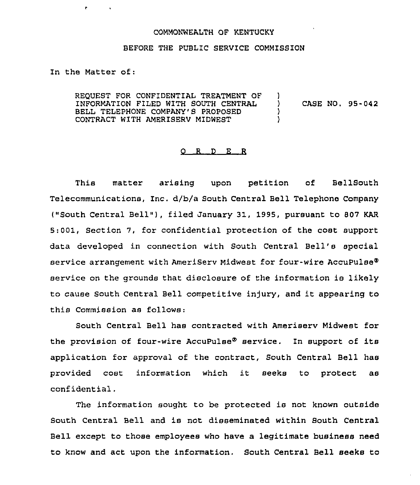## COMMONWEALTH OF KENTUCKY

## BEFORE THE PUBLIC SERVICE COMMISSION

In the Matter of:

 $\mathbf{r}$ 

REQUEST FOR CONFIDENTIAL TREATMENT OF )<br>INFORMATION FILED WITH SOUTH CENTRAL INFORMATION FILED WITH SOUTH CENTRAL ) CASE NO. 95-042 BELL TELEPHONE COMPANY'S PROPOSED  $\)$ <br>CONTRACT WITH AMERISERV MIDWEST  $\rangle$ CONTRACT WITH AMERISERV MIDWEST )

## $O$   $R$   $D$   $E$   $R$

This matter arising upon petition of BellSouth Telecommunications, Inc. d/b/a South Central Bell Telephone Company ("South Central Bell"), filed January 31, 1995, pursuant to 807 KAR 5:001, Section 7, for confidential protection of the cost support data developed in connection with South Central Bell's special service arrangement with AmeriServ Midwest for four-wire AccuPulse® service on the grounds that disclosure of the information is likely to cause South Central Bell competitive injury, and it appearing to this Commission as follows:

South Central Bell has contracted with Ameriserv Midwest for the provision of four-wire AccuPulse® service. In support of its application for approval of the contract, South Central Bell has provided cost information which it seeks to protect as confidential.

The information sought to be protected is not known outside South Central Bell and is not disseminated within South Central Bell except to those employees who have a legitimate business need to know and act upon the information. South Central Bell seeks to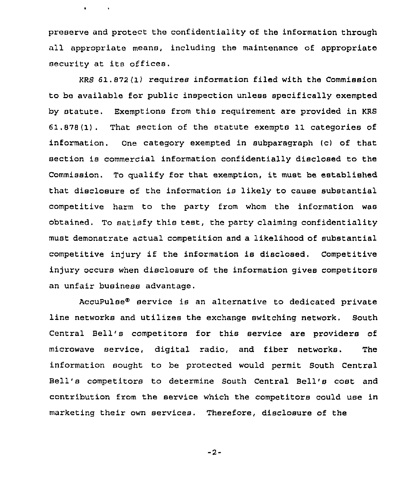preserve and protect the confidentiality of the information through all appropriate means, including the maintenance of appropriate security at its offices.

 $\mathbf{r} = \mathbf{r} \times \mathbf{r}$  .

KRS 61.872 (1) requires information filed with the Commission to be available for public inspection unless specifically exempted by statute. Exemptions from this requirement are provided in KRS 61 . 878 (1) . That section of the statute exempts 11 categories of information. One category exempted in subparagraph (c) of that section is commercial information confidentially disclosed to the Commission. To qualify for that exemption, it must be established that disclosure of the information is likely to cause substantial competitive harm to the party from whom the information was obtained. To satisfy this test, the party claiming confidentiality must demonstrate actual competition and a likelihood of substantial competitive in)ury if the information is disclosed. Competitive injury occurs when disclosure of the information gives competitors an unfair business advantage.

AccuPulse<sup>®</sup> service is an alternative to dedicated private line networks and utilizes the exchange switching network, South Central Bell's competitors for this service are providers of microwave service, digital radio, and fiber networks. The information sought to be protected would permit South Central Bell's competitors to determine South Central Bell's cost and contribution from the service which the competitors could use in marketing their own services. Therefore, disclosure of the

 $-2-$